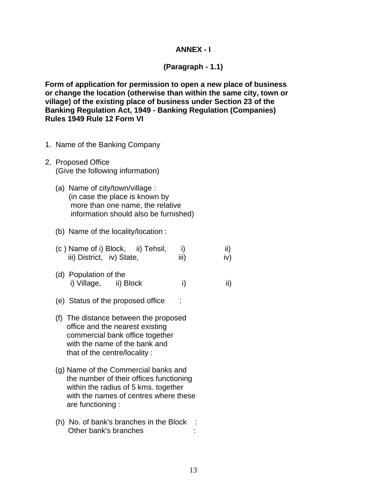## **ANNEX - I**

## **(Paragraph - 1.1)**

**Form of application for permission to open a new place of business or change the location (otherwise than within the same city, town or village) of the existing place of business under Section 23 of the Banking Regulation Act, 1949 - Banking Regulation (Companies) Rules 1949 Rule 12 Form VI** 

- 1. Name of the Banking Company
- 2. Proposed Office (Give the following information)
	- (a) Name of city/town/village : (in case the place is known by more than one name, the relative information should also be furnished)
	- (b) Name of the locality/location :
	- $(c)$  Name of i) Block, ii) Tehsil, i) iii) iii) District, iv) State, iii) iv)
	- (d) Population of the i) Village, ii) Block i) ii)
	- (e) Status of the proposed office :
	- (f) The distance between the proposed office and the nearest existing commercial bank office together with the name of the bank and that of the centre/locality :
	- (g) Name of the Commercial banks and the number of their offices functioning within the radius of 5 kms. together with the names of centres where these are functioning :
	- (h) No. of bank's branches in the Block : Other bank's branches :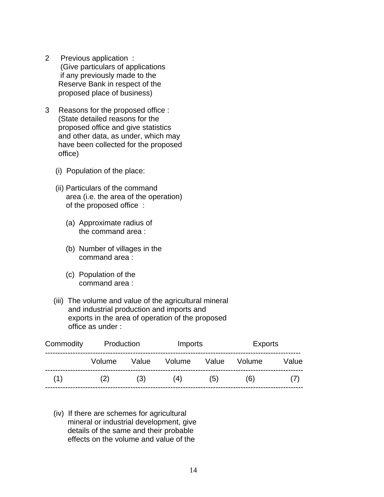- 2 Previous application : (Give particulars of applications if any previously made to the Reserve Bank in respect of the proposed place of business)
- 3 Reasons for the proposed office : (State detailed reasons for the proposed office and give statistics and other data, as under, which may have been collected for the proposed office)
	- (i) Population of the place:
	- (ii) Particulars of the command area (i.e. the area of the operation) of the proposed office :
		- (a) Approximate radius of the command area :
		- (b) Number of villages in the command area :
		- (c) Population of the command area :
	- (iii) The volume and value of the agricultural mineral and industrial production and imports and exports in the area of operation of the proposed office as under :

| Commodity | Production |       | Imports |       | <b>Exports</b> |       |
|-----------|------------|-------|---------|-------|----------------|-------|
|           | Volume     | Value | Volume  | Value | Volume         | Value |
| (1)       | (2)        | (3)   | (4)     | (5)   | (6)            |       |

 (iv) If there are schemes for agricultural mineral or industrial development, give details of the same and their probable effects on the volume and value of the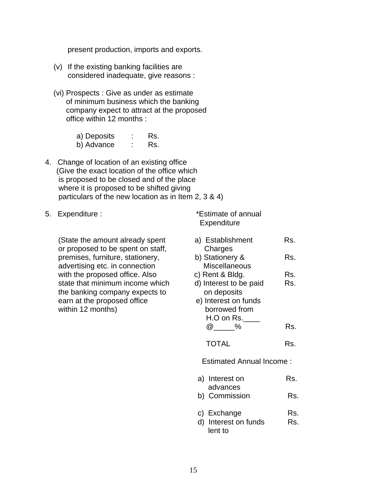present production, imports and exports.

- (v) If the existing banking facilities are considered inadequate, give reasons :
- (vi) Prospects : Give as under as estimate of minimum business which the banking company expect to attract at the proposed office within 12 months :

| a) Deposits | Rs. |
|-------------|-----|
| b) Advance  | Rs. |

- 4. Change of location of an existing office (Give the exact location of the office which is proposed to be closed and of the place where it is proposed to be shifted giving particulars of the new location as in Item 2, 3 & 4)
- 

## 5. Expenditure :  $*$ Estimate of annual **Expenditure**

| (State the amount already spent<br>or proposed to be spent on staff, | a) Establishment<br>Charges     | Rs. |  |  |
|----------------------------------------------------------------------|---------------------------------|-----|--|--|
| premises, furniture, stationery,                                     | b) Stationery &                 | Rs. |  |  |
| advertising etc. in connection                                       | <b>Miscellaneous</b>            |     |  |  |
| with the proposed office. Also                                       | c) Rent & Bldg.                 | Rs. |  |  |
| state that minimum income which                                      | d) Interest to be paid          | Rs. |  |  |
| the banking company expects to                                       | on deposits                     |     |  |  |
| earn at the proposed office                                          | e) Interest on funds            |     |  |  |
| within 12 months)                                                    | borrowed from                   |     |  |  |
|                                                                      | $H.O$ on Rs.                    |     |  |  |
|                                                                      | @ %                             | Rs. |  |  |
|                                                                      | <b>TOTAL</b>                    | Rs. |  |  |
|                                                                      | <b>Estimated Annual Income:</b> |     |  |  |
|                                                                      | a) Interest on                  | Rs. |  |  |
|                                                                      | advances                        |     |  |  |
|                                                                      | b) Commission                   | Rs. |  |  |
|                                                                      | c) Exchange                     | Rs. |  |  |
|                                                                      | d) Interest on funds<br>lent to | Rs. |  |  |